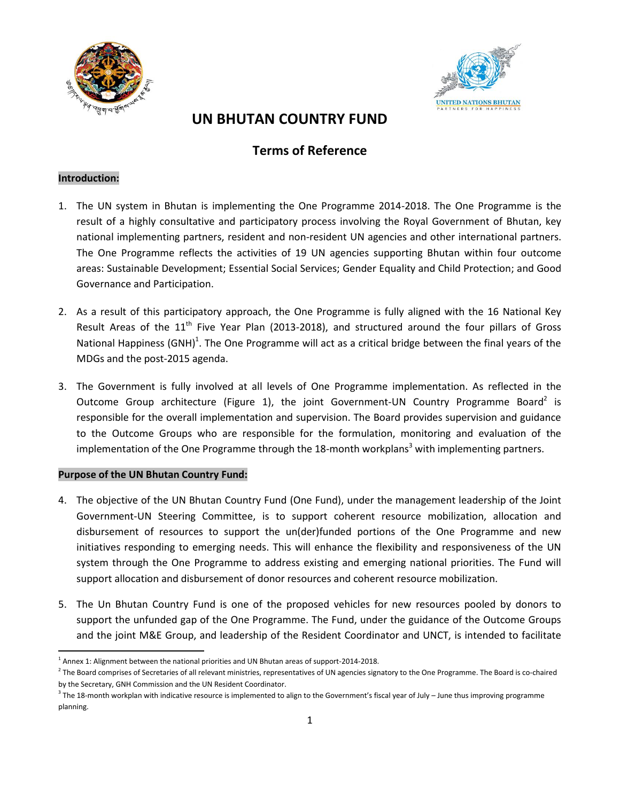



# **UN BHUTAN COUNTRY FUND**

# **Terms of Reference**

# **Introduction:**

- 1. The UN system in Bhutan is implementing the One Programme 2014-2018. The One Programme is the result of a highly consultative and participatory process involving the Royal Government of Bhutan, key national implementing partners, resident and non-resident UN agencies and other international partners. The One Programme reflects the activities of 19 UN agencies supporting Bhutan within four outcome areas: Sustainable Development; Essential Social Services; Gender Equality and Child Protection; and Good Governance and Participation.
- 2. As a result of this participatory approach, the One Programme is fully aligned with the 16 National Key Result Areas of the  $11<sup>th</sup>$  Five Year Plan (2013-2018), and structured around the four pillars of Gross National Happiness (GNH)<sup>1</sup>. The One Programme will act as a critical bridge between the final years of the MDGs and the post-2015 agenda.
- 3. The Government is fully involved at all levels of One Programme implementation. As reflected in the Outcome Group architecture (Figure 1), the joint Government-UN Country Programme Board<sup>2</sup> is responsible for the overall implementation and supervision. The Board provides supervision and guidance to the Outcome Groups who are responsible for the formulation, monitoring and evaluation of the implementation of the One Programme through the 18-month workplans<sup>3</sup> with implementing partners.

# **Purpose of the UN Bhutan Country Fund:**

- 4. The objective of the UN Bhutan Country Fund (One Fund), under the management leadership of the Joint Government-UN Steering Committee, is to support coherent resource mobilization, allocation and disbursement of resources to support the un(der)funded portions of the One Programme and new initiatives responding to emerging needs. This will enhance the flexibility and responsiveness of the UN system through the One Programme to address existing and emerging national priorities. The Fund will support allocation and disbursement of donor resources and coherent resource mobilization.
- 5. The Un Bhutan Country Fund is one of the proposed vehicles for new resources pooled by donors to support the unfunded gap of the One Programme. The Fund, under the guidance of the Outcome Groups and the joint M&E Group, and leadership of the Resident Coordinator and UNCT, is intended to facilitate

 $\overline{a}$  $<sup>1</sup>$  Annex 1: Alignment between the national priorities and UN Bhutan areas of support-2014-2018.</sup>

<sup>&</sup>lt;sup>2</sup> The Board comprises of Secretaries of all relevant ministries, representatives of UN agencies signatory to the One Programme. The Board is co-chaired by the Secretary, GNH Commission and the UN Resident Coordinator.

 $^3$  The 18-month workplan with indicative resource is implemented to align to the Government's fiscal year of July – June thus improving programme planning.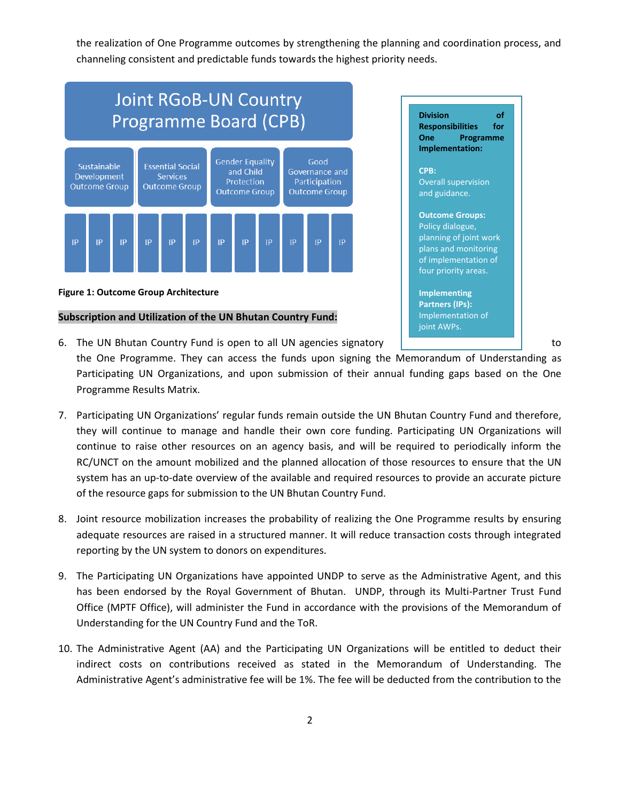the realization of One Programme outcomes by strengthening the planning and coordination process, and channeling consistent and predictable funds towards the highest priority needs.



#### **Figure 1: Outcome Group Architecture**

### **Subscription and Utilization of the UN Bhutan Country Fund:**



- 6. The UN Bhutan Country Fund is open to all UN agencies signatory | The County County County County County Co the One Programme. They can access the funds upon signing the Memorandum of Understanding as Participating UN Organizations, and upon submission of their annual funding gaps based on the One Programme Results Matrix.
- 7. Participating UN Organizations' regular funds remain outside the UN Bhutan Country Fund and therefore, they will continue to manage and handle their own core funding. Participating UN Organizations will continue to raise other resources on an agency basis, and will be required to periodically inform the RC/UNCT on the amount mobilized and the planned allocation of those resources to ensure that the UN system has an up-to-date overview of the available and required resources to provide an accurate picture of the resource gaps for submission to the UN Bhutan Country Fund.
- 8. Joint resource mobilization increases the probability of realizing the One Programme results by ensuring adequate resources are raised in a structured manner. It will reduce transaction costs through integrated reporting by the UN system to donors on expenditures.
- 9. The Participating UN Organizations have appointed UNDP to serve as the Administrative Agent, and this has been endorsed by the Royal Government of Bhutan. UNDP, through its Multi-Partner Trust Fund Office (MPTF Office), will administer the Fund in accordance with the provisions of the Memorandum of Understanding for the UN Country Fund and the ToR.
- 10. The Administrative Agent (AA) and the Participating UN Organizations will be entitled to deduct their indirect costs on contributions received as stated in the Memorandum of Understanding. The Administrative Agent's administrative fee will be 1%. The fee will be deducted from the contribution to the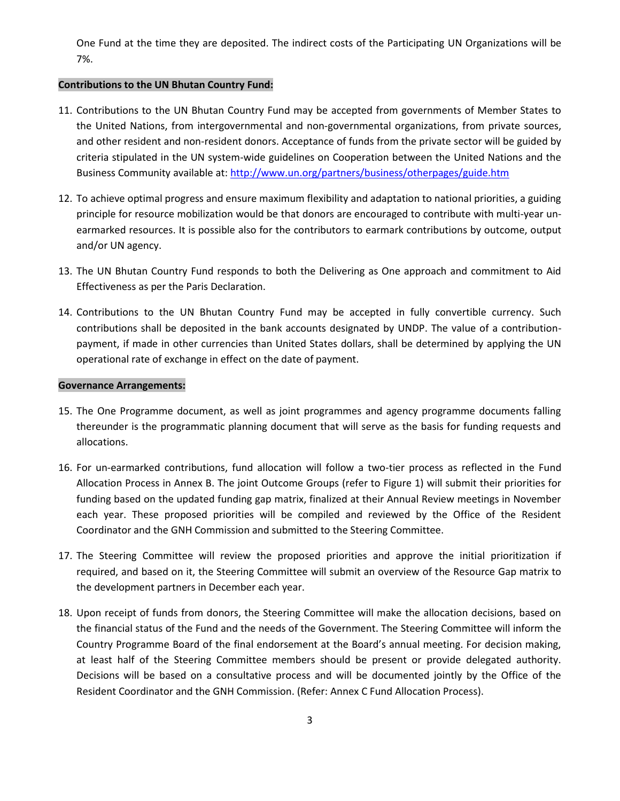One Fund at the time they are deposited. The indirect costs of the Participating UN Organizations will be 7%.

#### **Contributions to the UN Bhutan Country Fund:**

- 11. Contributions to the UN Bhutan Country Fund may be accepted from governments of Member States to the United Nations, from intergovernmental and non-governmental organizations, from private sources, and other resident and non-resident donors. Acceptance of funds from the private sector will be guided by criteria stipulated in the UN system-wide guidelines on Cooperation between the United Nations and the Business Community available at[: http://www.un.org/partners/business/otherpages/guide.htm](http://www.un.org/partners/business/otherpages/guide.htm)
- 12. To achieve optimal progress and ensure maximum flexibility and adaptation to national priorities, a guiding principle for resource mobilization would be that donors are encouraged to contribute with multi-year unearmarked resources. It is possible also for the contributors to earmark contributions by outcome, output and/or UN agency.
- 13. The UN Bhutan Country Fund responds to both the Delivering as One approach and commitment to Aid Effectiveness as per the Paris Declaration.
- 14. Contributions to the UN Bhutan Country Fund may be accepted in fully convertible currency. Such contributions shall be deposited in the bank accounts designated by UNDP. The value of a contributionpayment, if made in other currencies than United States dollars, shall be determined by applying the UN operational rate of exchange in effect on the date of payment.

### **Governance Arrangements:**

- 15. The One Programme document, as well as joint programmes and agency programme documents falling thereunder is the programmatic planning document that will serve as the basis for funding requests and allocations.
- 16. For un-earmarked contributions, fund allocation will follow a two-tier process as reflected in the Fund Allocation Process in Annex B. The joint Outcome Groups (refer to Figure 1) will submit their priorities for funding based on the updated funding gap matrix, finalized at their Annual Review meetings in November each year. These proposed priorities will be compiled and reviewed by the Office of the Resident Coordinator and the GNH Commission and submitted to the Steering Committee.
- 17. The Steering Committee will review the proposed priorities and approve the initial prioritization if required, and based on it, the Steering Committee will submit an overview of the Resource Gap matrix to the development partners in December each year.
- 18. Upon receipt of funds from donors, the Steering Committee will make the allocation decisions, based on the financial status of the Fund and the needs of the Government. The Steering Committee will inform the Country Programme Board of the final endorsement at the Board's annual meeting. For decision making, at least half of the Steering Committee members should be present or provide delegated authority. Decisions will be based on a consultative process and will be documented jointly by the Office of the Resident Coordinator and the GNH Commission. (Refer: Annex C Fund Allocation Process).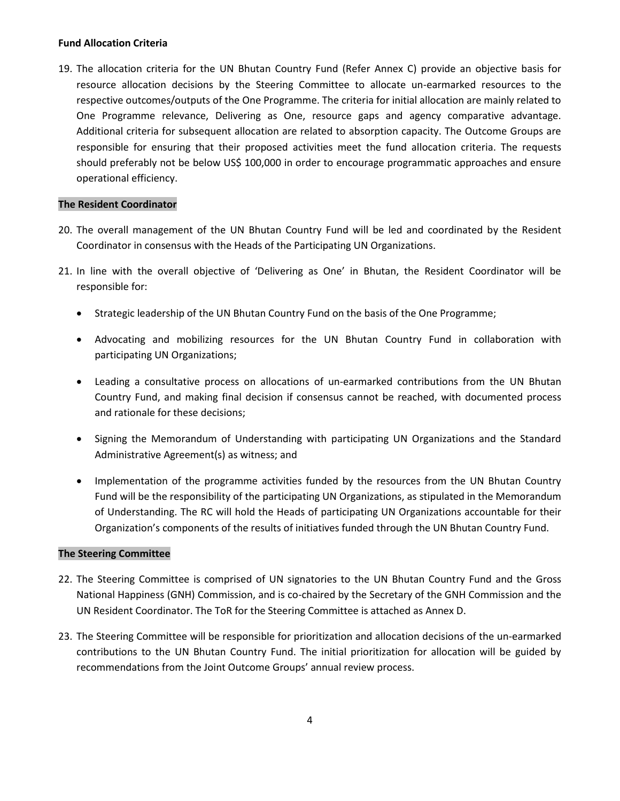## **Fund Allocation Criteria**

19. The allocation criteria for the UN Bhutan Country Fund (Refer Annex C) provide an objective basis for resource allocation decisions by the Steering Committee to allocate un-earmarked resources to the respective outcomes/outputs of the One Programme. The criteria for initial allocation are mainly related to One Programme relevance, Delivering as One, resource gaps and agency comparative advantage. Additional criteria for subsequent allocation are related to absorption capacity. The Outcome Groups are responsible for ensuring that their proposed activities meet the fund allocation criteria. The requests should preferably not be below US\$ 100,000 in order to encourage programmatic approaches and ensure operational efficiency.

## **The Resident Coordinator**

- 20. The overall management of the UN Bhutan Country Fund will be led and coordinated by the Resident Coordinator in consensus with the Heads of the Participating UN Organizations.
- 21. In line with the overall objective of 'Delivering as One' in Bhutan, the Resident Coordinator will be responsible for:
	- Strategic leadership of the UN Bhutan Country Fund on the basis of the One Programme;
	- Advocating and mobilizing resources for the UN Bhutan Country Fund in collaboration with participating UN Organizations;
	- Leading a consultative process on allocations of un-earmarked contributions from the UN Bhutan Country Fund, and making final decision if consensus cannot be reached, with documented process and rationale for these decisions;
	- Signing the Memorandum of Understanding with participating UN Organizations and the Standard Administrative Agreement(s) as witness; and
	- Implementation of the programme activities funded by the resources from the UN Bhutan Country Fund will be the responsibility of the participating UN Organizations, as stipulated in the Memorandum of Understanding. The RC will hold the Heads of participating UN Organizations accountable for their Organization's components of the results of initiatives funded through the UN Bhutan Country Fund.

### **The Steering Committee**

- 22. The Steering Committee is comprised of UN signatories to the UN Bhutan Country Fund and the Gross National Happiness (GNH) Commission, and is co-chaired by the Secretary of the GNH Commission and the UN Resident Coordinator. The ToR for the Steering Committee is attached as Annex D.
- 23. The Steering Committee will be responsible for prioritization and allocation decisions of the un-earmarked contributions to the UN Bhutan Country Fund. The initial prioritization for allocation will be guided by recommendations from the Joint Outcome Groups' annual review process.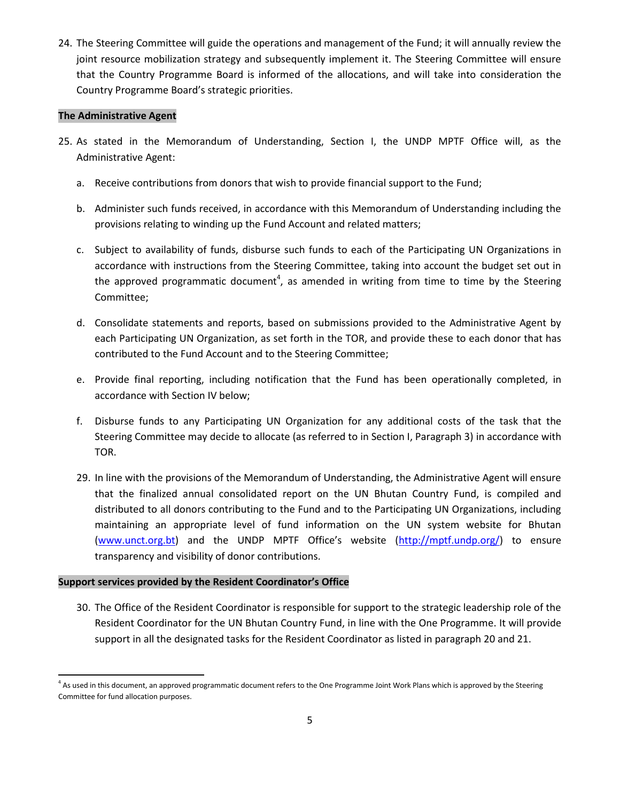24. The Steering Committee will guide the operations and management of the Fund; it will annually review the joint resource mobilization strategy and subsequently implement it. The Steering Committee will ensure that the Country Programme Board is informed of the allocations, and will take into consideration the Country Programme Board's strategic priorities.

# **The Administrative Agent**

- 25. As stated in the Memorandum of Understanding, Section I, the UNDP MPTF Office will, as the Administrative Agent:
	- a. Receive contributions from donors that wish to provide financial support to the Fund;
	- b. Administer such funds received, in accordance with this Memorandum of Understanding including the provisions relating to winding up the Fund Account and related matters;
	- c. Subject to availability of funds, disburse such funds to each of the Participating UN Organizations in accordance with instructions from the Steering Committee, taking into account the budget set out in the approved programmatic document<sup>4</sup>, as amended in writing from time to time by the Steering Committee;
	- d. Consolidate statements and reports, based on submissions provided to the Administrative Agent by each Participating UN Organization, as set forth in the TOR, and provide these to each donor that has contributed to the Fund Account and to the Steering Committee;
	- e. Provide final reporting, including notification that the Fund has been operationally completed, in accordance with Section IV below;
	- f. Disburse funds to any Participating UN Organization for any additional costs of the task that the Steering Committee may decide to allocate (as referred to in Section I, Paragraph 3) in accordance with TOR.
	- 29. In line with the provisions of the Memorandum of Understanding, the Administrative Agent will ensure that the finalized annual consolidated report on the UN Bhutan Country Fund, is compiled and distributed to all donors contributing to the Fund and to the Participating UN Organizations, including maintaining an appropriate level of fund information on the UN system website for Bhutan [\(www.unct.org.bt](http://www.unct.org.bt/)) and the UNDP MPTF Office's website ([http://mptf.undp.org/\)](http://mptf.undp.org/) to ensure transparency and visibility of donor contributions.

# **Support services provided by the Resident Coordinator's Office**

 $\overline{a}$ 

30. The Office of the Resident Coordinator is responsible for support to the strategic leadership role of the Resident Coordinator for the UN Bhutan Country Fund, in line with the One Programme. It will provide support in all the designated tasks for the Resident Coordinator as listed in paragraph 20 and 21.

<sup>&</sup>lt;sup>4</sup> As used in this document, an approved programmatic document refers to the One Programme Joint Work Plans which is approved by the Steering Committee for fund allocation purposes.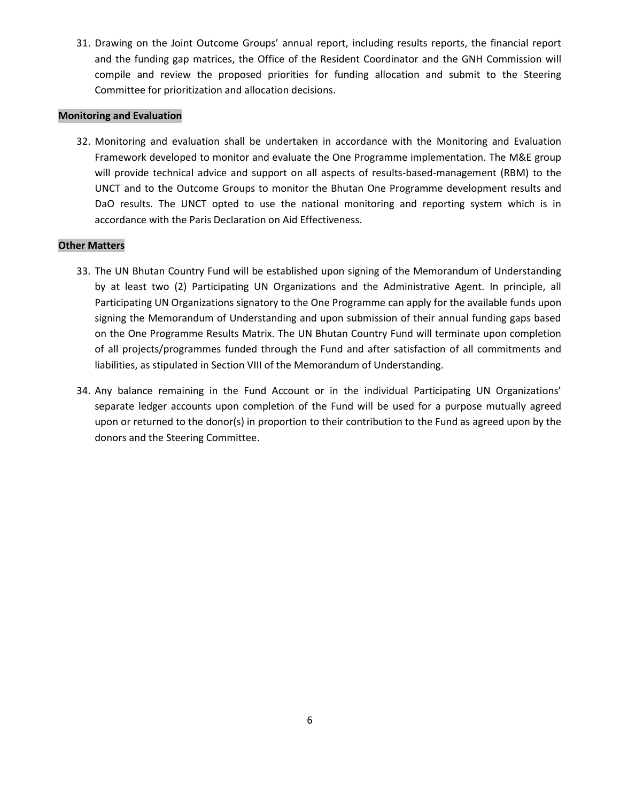31. Drawing on the Joint Outcome Groups' annual report, including results reports, the financial report and the funding gap matrices, the Office of the Resident Coordinator and the GNH Commission will compile and review the proposed priorities for funding allocation and submit to the Steering Committee for prioritization and allocation decisions.

# **Monitoring and Evaluation**

32. Monitoring and evaluation shall be undertaken in accordance with the Monitoring and Evaluation Framework developed to monitor and evaluate the One Programme implementation. The M&E group will provide technical advice and support on all aspects of results-based-management (RBM) to the UNCT and to the Outcome Groups to monitor the Bhutan One Programme development results and DaO results. The UNCT opted to use the national monitoring and reporting system which is in accordance with the Paris Declaration on Aid Effectiveness.

# **Other Matters**

- 33. The UN Bhutan Country Fund will be established upon signing of the Memorandum of Understanding by at least two (2) Participating UN Organizations and the Administrative Agent. In principle, all Participating UN Organizations signatory to the One Programme can apply for the available funds upon signing the Memorandum of Understanding and upon submission of their annual funding gaps based on the One Programme Results Matrix. The UN Bhutan Country Fund will terminate upon completion of all projects/programmes funded through the Fund and after satisfaction of all commitments and liabilities, as stipulated in Section VIII of the Memorandum of Understanding.
- 34. Any balance remaining in the Fund Account or in the individual Participating UN Organizations' separate ledger accounts upon completion of the Fund will be used for a purpose mutually agreed upon or returned to the donor(s) in proportion to their contribution to the Fund as agreed upon by the donors and the Steering Committee.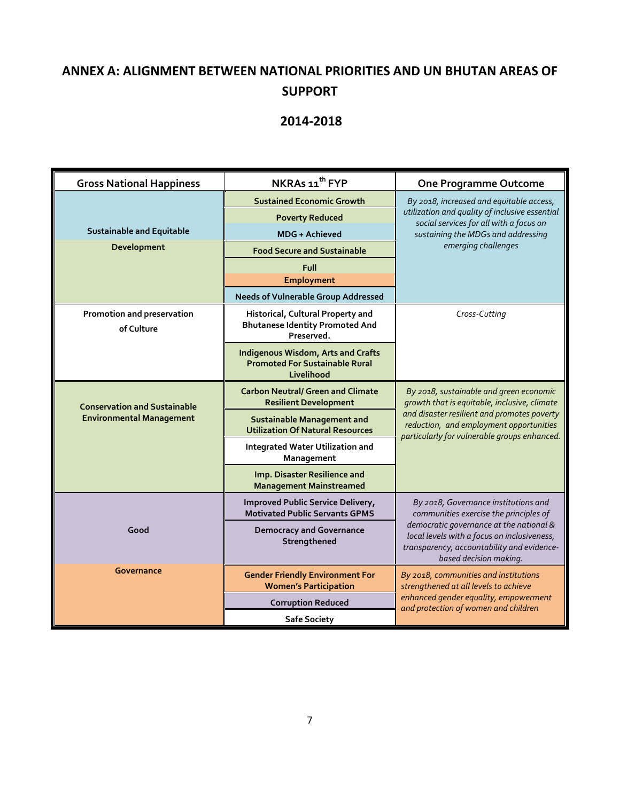# **ANNEX A: ALIGNMENT BETWEEN NATIONAL PRIORITIES AND UN BHUTAN AREAS OF SUPPORT**

# **2014-2018**

| <b>Gross National Happiness</b>          | NKRAs 11 <sup>th</sup> FYP                                                                       | <b>One Programme Outcome</b>                                                                                                                                   |
|------------------------------------------|--------------------------------------------------------------------------------------------------|----------------------------------------------------------------------------------------------------------------------------------------------------------------|
|                                          | <b>Sustained Economic Growth</b>                                                                 | By 2018, increased and equitable access,                                                                                                                       |
|                                          | <b>Poverty Reduced</b>                                                                           | utilization and quality of inclusive essential<br>social services for all with a focus on                                                                      |
| <b>Sustainable and Equitable</b>         | <b>MDG + Achieved</b>                                                                            | sustaining the MDGs and addressing                                                                                                                             |
| Development                              | <b>Food Secure and Sustainable</b>                                                               | emerging challenges                                                                                                                                            |
|                                          | Full                                                                                             |                                                                                                                                                                |
|                                          | Employment                                                                                       |                                                                                                                                                                |
|                                          | <b>Needs of Vulnerable Group Addressed</b>                                                       |                                                                                                                                                                |
| Promotion and preservation<br>of Culture | Historical, Cultural Property and<br><b>Bhutanese Identity Promoted And</b><br>Preserved.        | Cross-Cutting                                                                                                                                                  |
|                                          | <b>Indigenous Wisdom, Arts and Crafts</b><br><b>Promoted For Sustainable Rural</b><br>Livelihood |                                                                                                                                                                |
| <b>Conservation and Sustainable</b>      | <b>Carbon Neutral/ Green and Climate</b><br><b>Resilient Development</b>                         | By 2018, sustainable and green economic<br>growth that is equitable, inclusive, climate                                                                        |
| <b>Environmental Management</b>          | <b>Sustainable Management and</b><br><b>Utilization Of Natural Resources</b>                     | and disaster resilient and promotes poverty<br>reduction, and employment opportunities<br>particularly for vulnerable groups enhanced.                         |
|                                          | <b>Integrated Water Utilization and</b><br>Management                                            |                                                                                                                                                                |
|                                          | Imp. Disaster Resilience and<br><b>Management Mainstreamed</b>                                   |                                                                                                                                                                |
|                                          | Improved Public Service Delivery,<br><b>Motivated Public Servants GPMS</b>                       | By 2018, Governance institutions and<br>communities exercise the principles of                                                                                 |
| Good                                     | <b>Democracy and Governance</b><br>Strengthened                                                  | democratic governance at the national &<br>local levels with a focus on inclusiveness,<br>transparency, accountability and evidence-<br>based decision making. |
| Governance                               | <b>Gender Friendly Environment For</b><br><b>Women's Participation</b>                           | By 2018, communities and institutions<br>strengthened at all levels to achieve                                                                                 |
|                                          | <b>Corruption Reduced</b>                                                                        | enhanced gender equality, empowerment<br>and protection of women and children                                                                                  |
|                                          | <b>Safe Society</b>                                                                              |                                                                                                                                                                |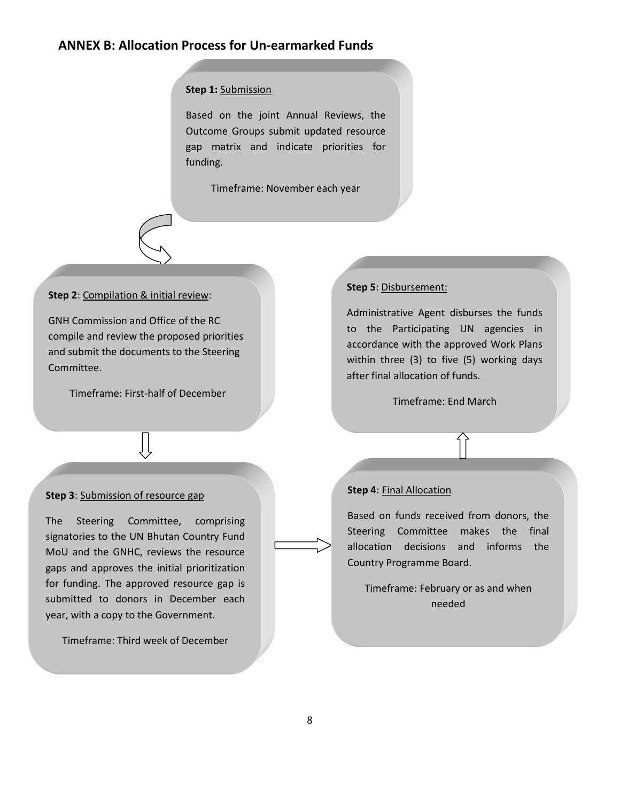# **ANNEX B: Allocation Process for Un-earmarked Funds**

### **Step 1:** Submission

Based on the joint Annual Reviews, the Outcome Groups submit updated resource gap matrix and indicate priorities for funding.

Timeframe: November each year

### **Step 2**: Compilation & initial review:

GNH Commission and Office of the RC compile and review the proposed priorities and submit the documents to the Steering Committee.

Timeframe: First-half of December

# **Step 3**: Submission of resource gap

The Steering Committee, comprising signatories to the UN Bhutan Country Fund MoU and the GNHC, reviews the resource gaps and approves the initial prioritization for funding. The approved resource gap is submitted to donors in December each year, with a copy to the Government.

Timeframe: Third week of December

#### **Step 5**: Disbursement:

Administrative Agent disburses the funds to the Participating UN agencies in accordance with the approved Work Plans within three (3) to five (5) working days after final allocation of funds.

Timeframe: End March

### **Step 4**: Final Allocation

Based on funds received from donors, the Steering Committee makes the final allocation decisions and informs the Country Programme Board.

Timeframe: February or as and when needed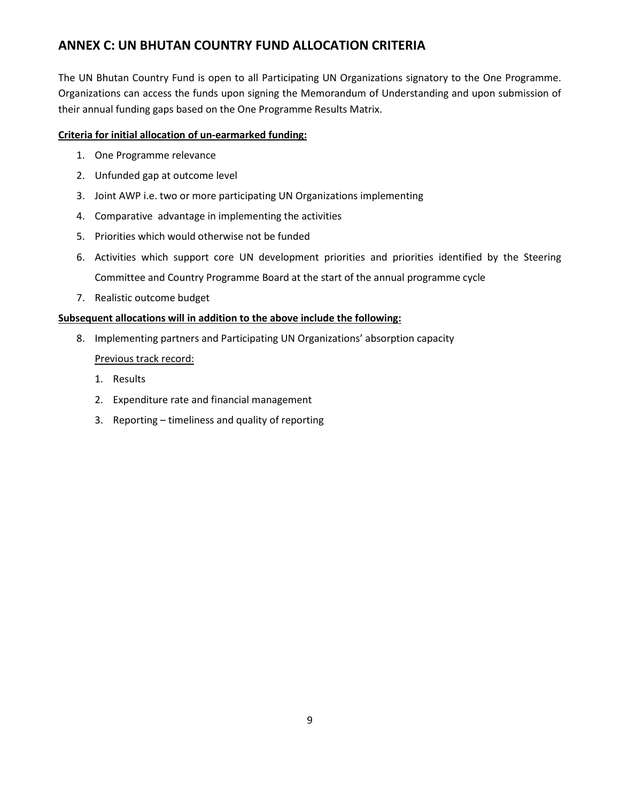# **ANNEX C: UN BHUTAN COUNTRY FUND ALLOCATION CRITERIA**

The UN Bhutan Country Fund is open to all Participating UN Organizations signatory to the One Programme. Organizations can access the funds upon signing the Memorandum of Understanding and upon submission of their annual funding gaps based on the One Programme Results Matrix.

# **Criteria for initial allocation of un-earmarked funding:**

- 1. One Programme relevance
- 2. Unfunded gap at outcome level
- 3. Joint AWP i.e. two or more participating UN Organizations implementing
- 4. Comparative advantage in implementing the activities
- 5. Priorities which would otherwise not be funded
- 6. Activities which support core UN development priorities and priorities identified by the Steering Committee and Country Programme Board at the start of the annual programme cycle
- 7. Realistic outcome budget

# **Subsequent allocations will in addition to the above include the following:**

- 8. Implementing partners and Participating UN Organizations' absorption capacity Previous track record:
	- 1. Results
	- 2. Expenditure rate and financial management
	- 3. Reporting timeliness and quality of reporting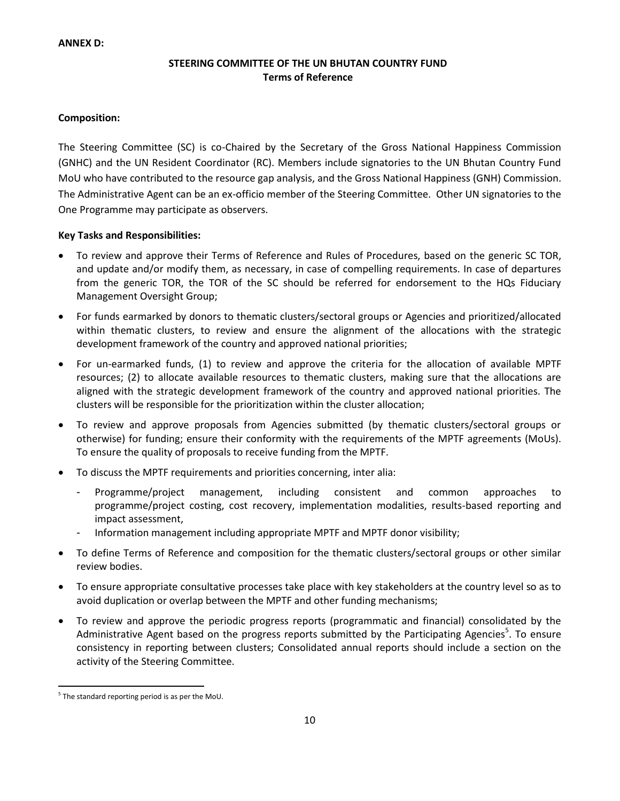### **ANNEX D:**

# **STEERING COMMITTEE OF THE UN BHUTAN COUNTRY FUND Terms of Reference**

## **Composition:**

The Steering Committee (SC) is co-Chaired by the Secretary of the Gross National Happiness Commission (GNHC) and the UN Resident Coordinator (RC). Members include signatories to the UN Bhutan Country Fund MoU who have contributed to the resource gap analysis, and the Gross National Happiness (GNH) Commission. The Administrative Agent can be an ex-officio member of the Steering Committee. Other UN signatories to the One Programme may participate as observers.

### **Key Tasks and Responsibilities:**

- To review and approve their Terms of Reference and Rules of Procedures, based on the generic SC TOR, and update and/or modify them, as necessary, in case of compelling requirements. In case of departures from the generic TOR, the TOR of the SC should be referred for endorsement to the HQs Fiduciary Management Oversight Group;
- For funds earmarked by donors to thematic clusters/sectoral groups or Agencies and prioritized/allocated within thematic clusters, to review and ensure the alignment of the allocations with the strategic development framework of the country and approved national priorities;
- For un-earmarked funds, (1) to review and approve the criteria for the allocation of available MPTF resources; (2) to allocate available resources to thematic clusters, making sure that the allocations are aligned with the strategic development framework of the country and approved national priorities. The clusters will be responsible for the prioritization within the cluster allocation;
- To review and approve proposals from Agencies submitted (by thematic clusters/sectoral groups or otherwise) for funding; ensure their conformity with the requirements of the MPTF agreements (MoUs). To ensure the quality of proposals to receive funding from the MPTF.
- To discuss the MPTF requirements and priorities concerning, inter alia:
	- Programme/project management, including consistent and common approaches to programme/project costing, cost recovery, implementation modalities, results-based reporting and impact assessment,
	- Information management including appropriate MPTF and MPTF donor visibility;
- To define Terms of Reference and composition for the thematic clusters/sectoral groups or other similar review bodies.
- To ensure appropriate consultative processes take place with key stakeholders at the country level so as to avoid duplication or overlap between the MPTF and other funding mechanisms;
- To review and approve the periodic progress reports (programmatic and financial) consolidated by the Administrative Agent based on the progress reports submitted by the Participating Agencies<sup>5</sup>. To ensure consistency in reporting between clusters; Consolidated annual reports should include a section on the activity of the Steering Committee.

 $\overline{a}$ <sup>5</sup> The standard reporting period is as per the MoU.